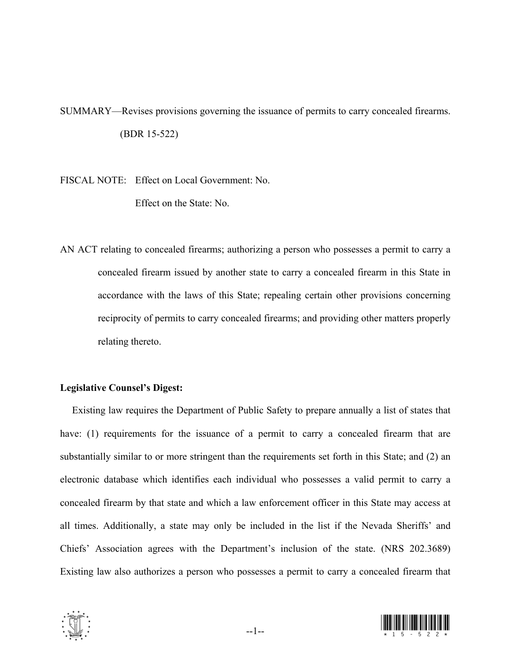SUMMARY—Revises provisions governing the issuance of permits to carry concealed firearms. (BDR 15-522)

FISCAL NOTE: Effect on Local Government: No.

Effect on the State: No.

AN ACT relating to concealed firearms; authorizing a person who possesses a permit to carry a concealed firearm issued by another state to carry a concealed firearm in this State in accordance with the laws of this State; repealing certain other provisions concerning reciprocity of permits to carry concealed firearms; and providing other matters properly relating thereto.

## **Legislative Counsel's Digest:**

 Existing law requires the Department of Public Safety to prepare annually a list of states that have: (1) requirements for the issuance of a permit to carry a concealed firearm that are substantially similar to or more stringent than the requirements set forth in this State; and (2) an electronic database which identifies each individual who possesses a valid permit to carry a concealed firearm by that state and which a law enforcement officer in this State may access at all times. Additionally, a state may only be included in the list if the Nevada Sheriffs' and Chiefs' Association agrees with the Department's inclusion of the state. (NRS 202.3689) Existing law also authorizes a person who possesses a permit to carry a concealed firearm that



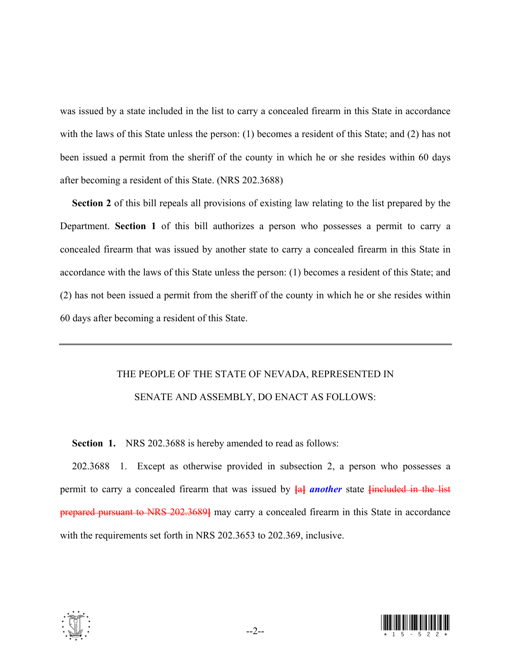was issued by a state included in the list to carry a concealed firearm in this State in accordance with the laws of this State unless the person: (1) becomes a resident of this State; and (2) has not been issued a permit from the sheriff of the county in which he or she resides within 60 days after becoming a resident of this State. (NRS 202.3688)

 **Section 2** of this bill repeals all provisions of existing law relating to the list prepared by the Department. **Section 1** of this bill authorizes a person who possesses a permit to carry a concealed firearm that was issued by another state to carry a concealed firearm in this State in accordance with the laws of this State unless the person: (1) becomes a resident of this State; and (2) has not been issued a permit from the sheriff of the county in which he or she resides within 60 days after becoming a resident of this State.

## THE PEOPLE OF THE STATE OF NEVADA, REPRESENTED IN SENATE AND ASSEMBLY, DO ENACT AS FOLLOWS:

 **Section 1.** NRS 202.3688 is hereby amended to read as follows:

 202.3688 1. Except as otherwise provided in subsection 2, a person who possesses a permit to carry a concealed firearm that was issued by **[**a**]** *another* state **[**included in the list prepared pursuant to NRS 202.3689**]** may carry a concealed firearm in this State in accordance with the requirements set forth in NRS 202.3653 to 202.369, inclusive.



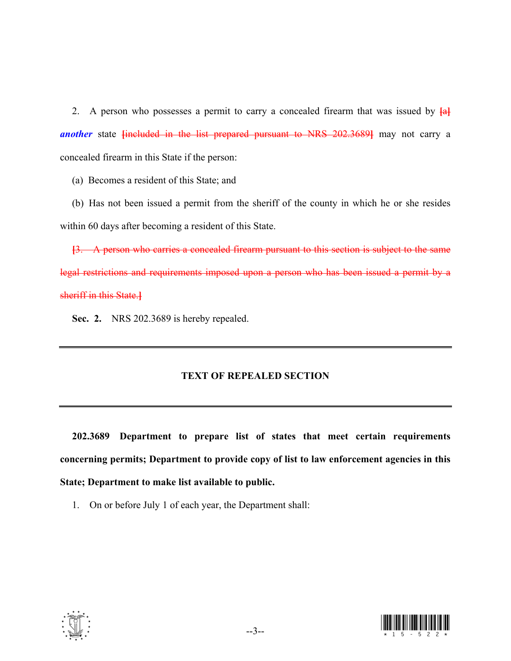2. A person who possesses a permit to carry a concealed firearm that was issued by **[**a**]** *another* state **[**included in the list prepared pursuant to NRS 202.3689**]** may not carry a concealed firearm in this State if the person:

(a) Becomes a resident of this State; and

 (b) Has not been issued a permit from the sheriff of the county in which he or she resides within 60 days after becoming a resident of this State.

**[**3. A person who carries a concealed firearm pursuant to this section is subject to the same legal restrictions and requirements imposed upon a person who has been issued a permit by a sheriff in this State.**]**

 **Sec. 2.** NRS 202.3689 is hereby repealed.

## **TEXT OF REPEALED SECTION**

 **202.3689 Department to prepare list of states that meet certain requirements concerning permits; Department to provide copy of list to law enforcement agencies in this State; Department to make list available to public.** 

1. On or before July 1 of each year, the Department shall: